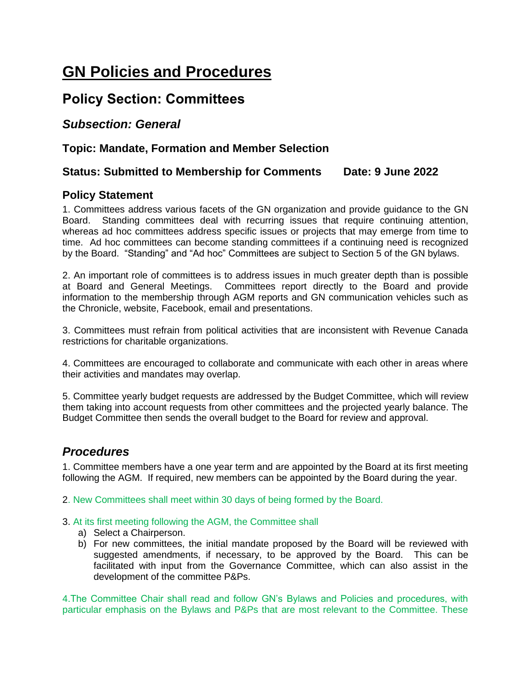# **GN Policies and Procedures**

## **Policy Section: Committees**

#### *Subsection: General*

#### **Topic: Mandate, Formation and Member Selection**

#### **Status: Submitted to Membership for Comments Date: 9 June 2022**

#### **Policy Statement**

1. Committees address various facets of the GN organization and provide guidance to the GN Board. Standing committees deal with recurring issues that require continuing attention, whereas ad hoc committees address specific issues or projects that may emerge from time to time. Ad hoc committees can become standing committees if a continuing need is recognized by the Board. "Standing" and "Ad hoc" Committees are subject to Section 5 of the GN bylaws.

2. An important role of committees is to address issues in much greater depth than is possible at Board and General Meetings. Committees report directly to the Board and provide information to the membership through AGM reports and GN communication vehicles such as the Chronicle, website, Facebook, email and presentations.

3. Committees must refrain from political activities that are inconsistent with Revenue Canada restrictions for charitable organizations.

4. Committees are encouraged to collaborate and communicate with each other in areas where their activities and mandates may overlap.

5. Committee yearly budget requests are addressed by the Budget Committee, which will review them taking into account requests from other committees and the projected yearly balance. The Budget Committee then sends the overall budget to the Board for review and approval.

### *Procedures*

1. Committee members have a one year term and are appointed by the Board at its first meeting following the AGM. If required, new members can be appointed by the Board during the year.

2. New Committees shall meet within 30 days of being formed by the Board.

#### 3. At its first meeting following the AGM, the Committee shall

- a) Select a Chairperson.
- b) For new committees, the initial mandate proposed by the Board will be reviewed with suggested amendments, if necessary, to be approved by the Board. This can be facilitated with input from the Governance Committee, which can also assist in the development of the committee P&Ps.

4.The Committee Chair shall read and follow GN's Bylaws and Policies and procedures, with particular emphasis on the Bylaws and P&Ps that are most relevant to the Committee. These